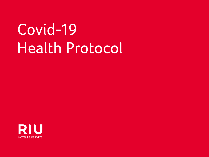# Covid-19 Health Protocol

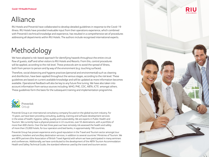# Alliance

RIU Hotels and Preverisk have collaborated to develop detailed guidelines in response to the Covid-19 illness. RIU Hotels have provided invaluable input from their operations experience, which combined with Preverisk's technical knowledge and experience, has resulted in a comprehensive set of procedures addressing all departments within RIU Hotels. The authors include recognised international experts.

# Methodology

We have adopted a risk-based approach for identifying hazards throughout the entire circuit flow of guests, staff and other visitors to RIU Hotels and Resorts. From this, control procedures will be applied, according to the risk level. These protocols aim to avoid the spread of illness, both from person to person and by way of the environment (e.g. touching surfaces).

Therefore, social distancing and hygiene practices (personal and environmental) such as cleaning and disinfection, have been applied throughout the various stages, according to the risk level. These guidelines are based on current available knowledge and will be updated as more information becomes available. Operational feedback will also be key to any future fine tuning. We have also taken into account information from various sources including: WHO, PHE, CDC, ABTA, ICTE amongst others. These guidelines form the basis for the subsequent training and implementation programme.



Preverisk Group is an international consultancy company focused on the global tourism industry. For 15 years, we have been providing consulting, auditing, training and software development services in the areas of health, hygiene, safety, quality and sustainability. We are experts in Public Health and Tourism. We currently have a physical presence in 22 countries, over 55 destinations, with a portfolio of more than 600 clients. Over the last three years we have remotely risk assessed the health and safety of more than 25,000 hotels, for tour operators and bed banks, in approximately 190 countries.

Preverisk Group has proven experience and a good reputation in the Travel and Tourism sector amongst tour operators, hoteliers and ancillary destination services, in addition to several countries' Ministries of Tourism. We are ABTA partners (the Association of British Travel Agents) with whom we have participated in many seminars and conferences. Additionally, we have contributed to the development of the ABTA Tourism Accommodation Health and Safety Technical Guide, the standard reference used by the travel and tourism sector.

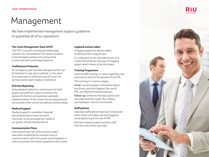# Management

We have implemented management support guidelines to guarantee all of our operations

#### **The Crisis Management Team (CMT)**

The CMT is up and running (and adequately trained). Our consolidated CMT allows incidents to be managed quickly and consequently a quick and well coordinated response.

#### **Confinement Protocols**

An emergency plan has been designed which can be followed in case of an outbreak. In the event of a suspected or confirmed case of Covid-19, we have action plans ready to implement.

#### **Sickness Reporting**

Early symptom detection mechanisms for both guests and staff are in place to prevent the spread of infection and potential outbreaks. Implementation of this means we are prepared and can activate other control procedures without delay.

#### **Medical Support**

Medical support is available if required. Not all destinations have the same resources, so we anticipate the needs of our guests should they become ill.

#### **Communication Plans**

Internal and external communication plans have been established to maintain lines of communication with both guests and employees in order to provide information adapted to their needs.

#### **Logbook actions taken**

A logging system for actions taken, to demonstrate a duty of care.

It is important to not only take action, but to also demonstrate it by way of a logging system which shows all actions taken.

#### **Training Programme**

General staff training is in place regarding new protocols to prevent the spread of Covid19. This training is in various stages: Initial: containing basic information about

the illness, personal hygiene, the use of PPE, and departmental procedures.

Follow-up: reinforces the basic points and any improvements made. Plus, follows up employees' concerns and needs.

#### **Staff policies**

Improved staff policies have been introduced within three core ideas: personal hygiene, social distancing & the use of PPE. We have looked at ways to protect staff from the risks of their job roles.



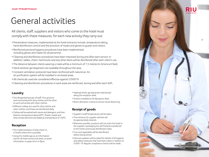# General activities

All clients, staff, suppliers and visitors who come to the hotel must comply with these measures, for each new activity they carry out:

- Preventative measures, implemented at the hotel entrance include: temperature taking, hand disinfection control and the provision of masks and gloves to guests and visitors.
- Reinforced personal hygiene procedures have been implemented, including gloves and masks for all personnel.
- Cleaning and disinfection procedures have been improved during and after each service. In addition, tables, chairs, hammocks and any other items will be disinfected after each client's use.
- The distance between clients wearing a mask will be a minimum of 1.5 metres (in America 6 feet).
- Hand sanitiser gel dispensers are available throughout the area.
- Constant ventilation protocols have been reinforced with natural air. An air purification system will be installed in enclosed areas.
- All chemicals used are considered effective against COVID19.
- Cleaning and disinfection procedures in work areas are reinforced, during and after each shift.

# **Laundry**

- Two designated groups of staff. One group to work exclusively with dirty clothes and the other to work exclusively with clean clothes.
- Different trolleys are used for dirty clothes and clean clothes, and these are disinfected daily.
- Clothes will be washed with ozone and detergent, and then dried at a temperature above 60ºC. Sheets, towels and other similar elements are folded at a temperature of 150ºC.

# **Reception**

- The implementation of web check-in, in hotels where this is possible.
- Using the mobile app as an information tool for all hotel communal areas, to avoid information in paper form or flyers.
- Hydroalcoholic gel dispensers distributed along the reception desk.
- Screens installed at the Reception desk.
- Room allocation criteria to ensure social distancing.

# **Receipt of goods**

- Supplier's staff temperatures will be taken.
- The entrance for supplier vehicles will be appropriately cleaned.
- Wherever possible, products will not enter the hotel in the supplier's packaging but will firstly be transferred to the hotel's previously disinfected crates.
- Fruit and vegetables will be disinfected before being stored.
- External suppliers will be asked for details of all hygiene and safety measures that have been taken in relation to COVID-19. Regular compliance checks will be made.